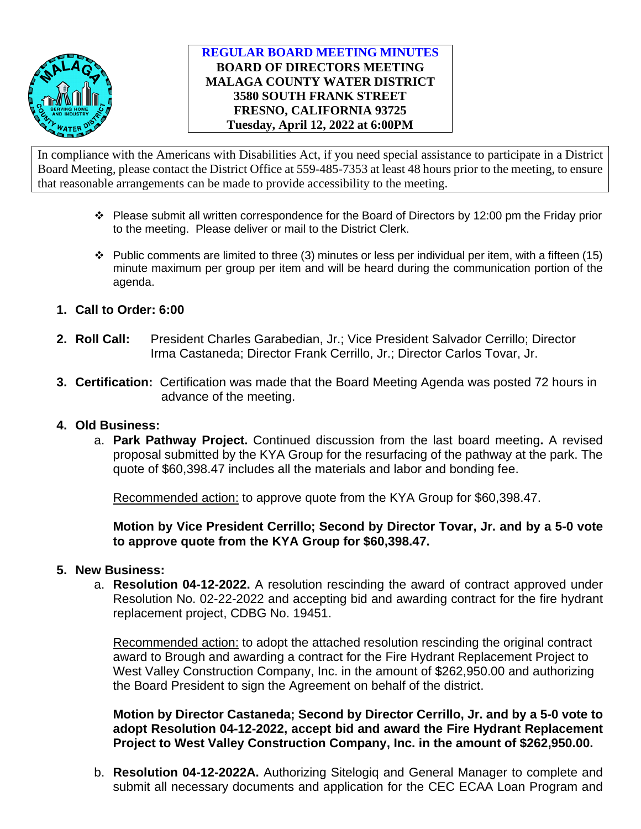

## **REGULAR BOARD MEETING MINUTES BOARD OF DIRECTORS MEETING MALAGA COUNTY WATER DISTRICT 3580 SOUTH FRANK STREET FRESNO, CALIFORNIA 93725 Tuesday, April 12, 2022 at 6:00PM**

In compliance with the Americans with Disabilities Act, if you need special assistance to participate in a District Board Meeting, please contact the District Office at 559-485-7353 at least 48 hours prior to the meeting, to ensure that reasonable arrangements can be made to provide accessibility to the meeting.

- $\cdot \cdot$  Please submit all written correspondence for the Board of Directors by 12:00 pm the Friday prior to the meeting. Please deliver or mail to the District Clerk.
- $\cdot \cdot$  Public comments are limited to three (3) minutes or less per individual per item, with a fifteen (15) minute maximum per group per item and will be heard during the communication portion of the agenda.
- **1. Call to Order: 6:00**
- **2. Roll Call:** President Charles Garabedian, Jr.; Vice President Salvador Cerrillo; Director Irma Castaneda; Director Frank Cerrillo, Jr.; Director Carlos Tovar, Jr.
- **3. Certification:** Certification was made that the Board Meeting Agenda was posted 72 hours in advance of the meeting.

## **4. Old Business:**

a. **Park Pathway Project.** Continued discussion from the last board meeting**.** A revised proposal submitted by the KYA Group for the resurfacing of the pathway at the park. The quote of \$60,398.47 includes all the materials and labor and bonding fee.

Recommended action: to approve quote from the KYA Group for \$60,398.47.

**Motion by Vice President Cerrillo; Second by Director Tovar, Jr. and by a 5-0 vote to approve quote from the KYA Group for \$60,398.47.**

## **5. New Business:**

a. **Resolution 04-12-2022.** A resolution rescinding the award of contract approved under Resolution No. 02-22-2022 and accepting bid and awarding contract for the fire hydrant replacement project, CDBG No. 19451.

Recommended action: to adopt the attached resolution rescinding the original contract award to Brough and awarding a contract for the Fire Hydrant Replacement Project to West Valley Construction Company, Inc. in the amount of \$262,950.00 and authorizing the Board President to sign the Agreement on behalf of the district.

**Motion by Director Castaneda; Second by Director Cerrillo, Jr. and by a 5-0 vote to adopt Resolution 04-12-2022, accept bid and award the Fire Hydrant Replacement Project to West Valley Construction Company, Inc. in the amount of \$262,950.00.** 

b. **Resolution 04-12-2022A.** Authorizing Sitelogiq and General Manager to complete and submit all necessary documents and application for the CEC ECAA Loan Program and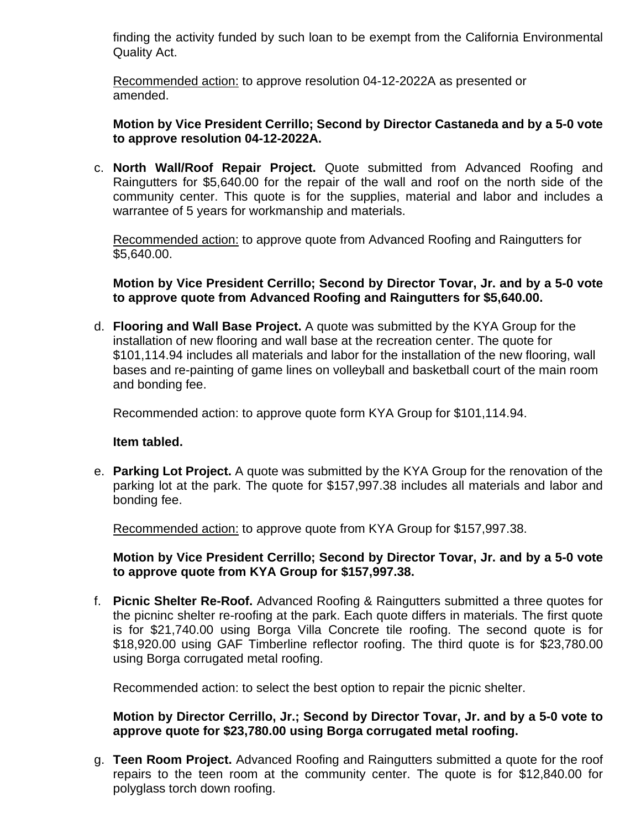finding the activity funded by such loan to be exempt from the California Environmental Quality Act.

Recommended action: to approve resolution 04-12-2022A as presented or amended.

## **Motion by Vice President Cerrillo; Second by Director Castaneda and by a 5-0 vote to approve resolution 04-12-2022A.**

c. **North Wall/Roof Repair Project.** Quote submitted from Advanced Roofing and Raingutters for \$5,640.00 for the repair of the wall and roof on the north side of the community center. This quote is for the supplies, material and labor and includes a warrantee of 5 years for workmanship and materials.

Recommended action: to approve quote from Advanced Roofing and Raingutters for \$5,640.00.

**Motion by Vice President Cerrillo; Second by Director Tovar, Jr. and by a 5-0 vote to approve quote from Advanced Roofing and Raingutters for \$5,640.00.**

d. **Flooring and Wall Base Project.** A quote was submitted by the KYA Group for the installation of new flooring and wall base at the recreation center. The quote for \$101,114.94 includes all materials and labor for the installation of the new flooring, wall bases and re-painting of game lines on volleyball and basketball court of the main room and bonding fee.

Recommended action: to approve quote form KYA Group for \$101,114.94.

## **Item tabled.**

e. **Parking Lot Project.** A quote was submitted by the KYA Group for the renovation of the parking lot at the park. The quote for \$157,997.38 includes all materials and labor and bonding fee.

Recommended action: to approve quote from KYA Group for \$157,997.38.

## **Motion by Vice President Cerrillo; Second by Director Tovar, Jr. and by a 5-0 vote to approve quote from KYA Group for \$157,997.38.**

f. **Picnic Shelter Re-Roof.** Advanced Roofing & Raingutters submitted a three quotes for the picninc shelter re-roofing at the park. Each quote differs in materials. The first quote is for \$21,740.00 using Borga Villa Concrete tile roofing. The second quote is for \$18,920.00 using GAF Timberline reflector roofing. The third quote is for \$23,780.00 using Borga corrugated metal roofing.

Recommended action: to select the best option to repair the picnic shelter.

## **Motion by Director Cerrillo, Jr.; Second by Director Tovar, Jr. and by a 5-0 vote to approve quote for \$23,780.00 using Borga corrugated metal roofing.**

g. **Teen Room Project.** Advanced Roofing and Raingutters submitted a quote for the roof repairs to the teen room at the community center. The quote is for \$12,840.00 for polyglass torch down roofing.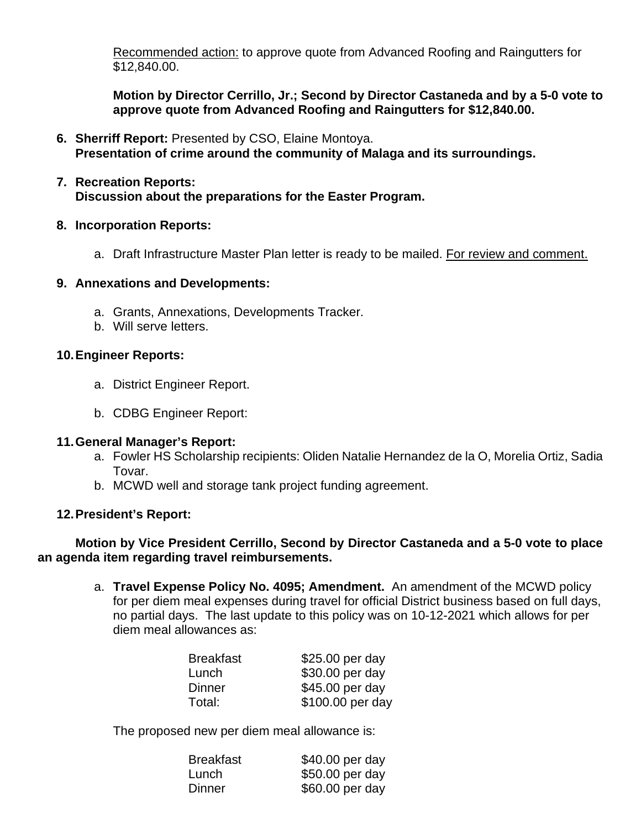Recommended action: to approve quote from Advanced Roofing and Raingutters for \$12,840.00.

**Motion by Director Cerrillo, Jr.; Second by Director Castaneda and by a 5-0 vote to approve quote from Advanced Roofing and Raingutters for \$12,840.00.**

**6. Sherriff Report:** Presented by CSO, Elaine Montoya. **Presentation of crime around the community of Malaga and its surroundings.** 

## **7. Recreation Reports: Discussion about the preparations for the Easter Program.**

### **8. Incorporation Reports:**

a. Draft Infrastructure Master Plan letter is ready to be mailed. For review and comment.

#### **9. Annexations and Developments:**

- a. Grants, Annexations, Developments Tracker.
- b. Will serve letters.

### **10.Engineer Reports:**

- a. District Engineer Report.
- b. CDBG Engineer Report:

#### **11.General Manager's Report:**

- a. Fowler HS Scholarship recipients: Oliden Natalie Hernandez de la O, Morelia Ortiz, Sadia Tovar.
- b. MCWD well and storage tank project funding agreement.

## **12.President's Report:**

## **Motion by Vice President Cerrillo, Second by Director Castaneda and a 5-0 vote to place an agenda item regarding travel reimbursements.**

a. **Travel Expense Policy No. 4095; Amendment.** An amendment of the MCWD policy for per diem meal expenses during travel for official District business based on full days, no partial days. The last update to this policy was on 10-12-2021 which allows for per diem meal allowances as:

| <b>Breakfast</b> | \$25.00 per day  |
|------------------|------------------|
| Lunch            | \$30.00 per day  |
| Dinner           | \$45.00 per day  |
| Total:           | \$100.00 per day |
|                  |                  |

The proposed new per diem meal allowance is:

| <b>Breakfast</b> | \$40.00 per day |
|------------------|-----------------|
| Lunch            | \$50.00 per day |
| Dinner           | \$60.00 per day |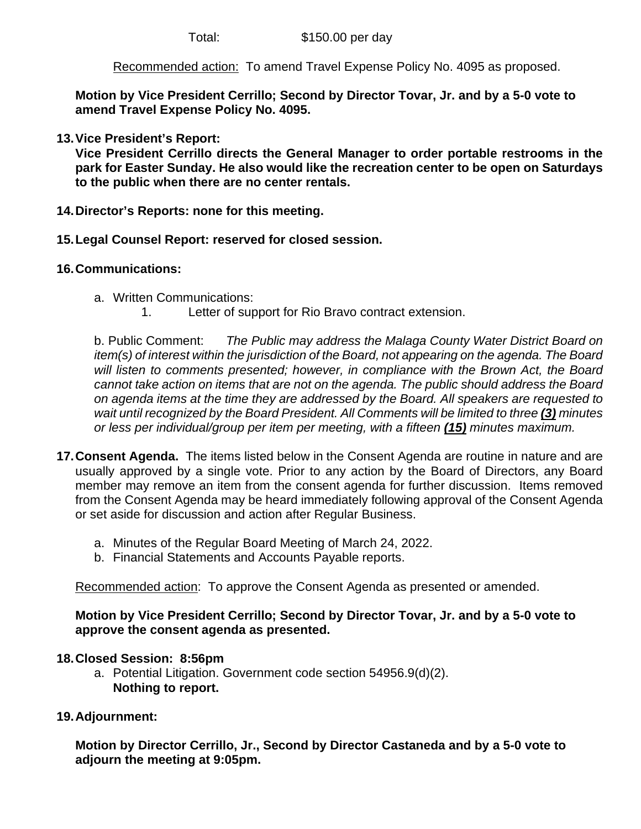Recommended action: To amend Travel Expense Policy No. 4095 as proposed.

**Motion by Vice President Cerrillo; Second by Director Tovar, Jr. and by a 5-0 vote to amend Travel Expense Policy No. 4095.**

**13.Vice President's Report:**

**Vice President Cerrillo directs the General Manager to order portable restrooms in the park for Easter Sunday. He also would like the recreation center to be open on Saturdays to the public when there are no center rentals.** 

- **14.Director's Reports: none for this meeting.**
- **15.Legal Counsel Report: reserved for closed session.**

# **16.Communications:**

- a. Written Communications:
	- 1. Letter of support for Rio Bravo contract extension.

b. Public Comment: *The Public may address the Malaga County Water District Board on item(s) of interest within the jurisdiction of the Board, not appearing on the agenda. The Board will listen to comments presented; however, in compliance with the Brown Act, the Board cannot take action on items that are not on the agenda. The public should address the Board on agenda items at the time they are addressed by the Board. All speakers are requested to wait until recognized by the Board President. All Comments will be limited to three (3) minutes or less per individual/group per item per meeting, with a fifteen (15) minutes maximum.*

- **17.Consent Agenda.** The items listed below in the Consent Agenda are routine in nature and are usually approved by a single vote. Prior to any action by the Board of Directors, any Board member may remove an item from the consent agenda for further discussion. Items removed from the Consent Agenda may be heard immediately following approval of the Consent Agenda or set aside for discussion and action after Regular Business.
	- a. Minutes of the Regular Board Meeting of March 24, 2022.
	- b. Financial Statements and Accounts Payable reports.

Recommended action: To approve the Consent Agenda as presented or amended.

# **Motion by Vice President Cerrillo; Second by Director Tovar, Jr. and by a 5-0 vote to approve the consent agenda as presented.**

# **18.Closed Session: 8:56pm**

- a. Potential Litigation. Government code section 54956.9(d)(2). **Nothing to report.**
- **19.Adjournment:**

**Motion by Director Cerrillo, Jr., Second by Director Castaneda and by a 5-0 vote to adjourn the meeting at 9:05pm.**